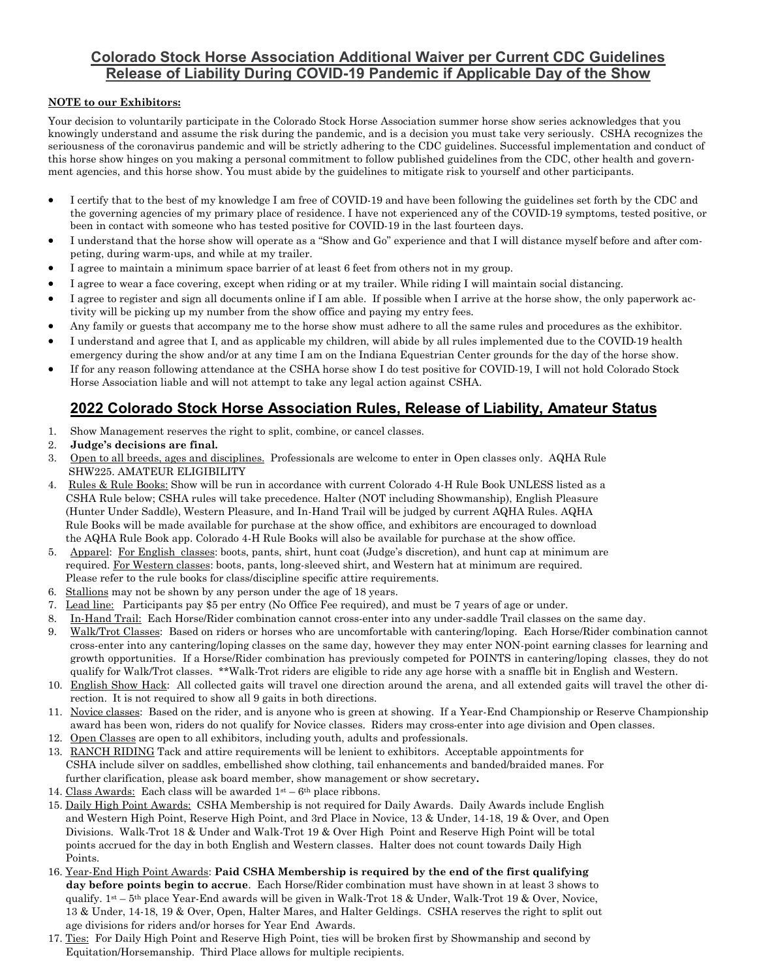## **Colorado Stock Horse Association Additional Waiver per Current CDC Guidelines Release of Liability During COVID-19 Pandemic if Applicable Day of the Show**

## **NOTE to our Exhibitors:**

Your decision to voluntarily participate in the Colorado Stock Horse Association summer horse show series acknowledges that you knowingly understand and assume the risk during the pandemic, and is a decision you must take very seriously. CSHA recognizes the seriousness of the coronavirus pandemic and will be strictly adhering to the CDC guidelines. Successful implementation and conduct of this horse show hinges on you making a personal commitment to follow published guidelines from the CDC, other health and government agencies, and this horse show. You must abide by the guidelines to mitigate risk to yourself and other participants.

- I certify that to the best of my knowledge I am free of COVID-19 and have been following the guidelines set forth by the CDC and the governing agencies of my primary place of residence. I have not experienced any of the COVID-19 symptoms, tested positive, or been in contact with someone who has tested positive for COVID-19 in the last fourteen days.
- I understand that the horse show will operate as a "Show and Go" experience and that I will distance myself before and after competing, during warm-ups, and while at my trailer.
- I agree to maintain a minimum space barrier of at least 6 feet from others not in my group.
- I agree to wear a face covering, except when riding or at my trailer. While riding I will maintain social distancing.
- I agree to register and sign all documents online if I am able. If possible when I arrive at the horse show, the only paperwork activity will be picking up my number from the show office and paying my entry fees.
- Any family or guests that accompany me to the horse show must adhere to all the same rules and procedures as the exhibitor.
- I understand and agree that I, and as applicable my children, will abide by all rules implemented due to the COVID-19 health emergency during the show and/or at any time I am on the Indiana Equestrian Center grounds for the day of the horse show.
- If for any reason following attendance at the CSHA horse show I do test positive for COVID-19, I will not hold Colorado Stock Horse Association liable and will not attempt to take any legal action against CSHA.

# **2022 Colorado Stock Horse Association Rules, Release of Liability, Amateur Status**

- 1. Show Management reserves the right to split, combine, or cancel classes.
- 2. **Judge's decisions are final.**
- 3. Open to all breeds, ages and disciplines. Professionals are welcome to enter in Open classes only. AQHA Rule SHW225. AMATEUR ELIGIBILITY
- 4. Rules & Rule Books: Show will be run in accordance with current Colorado 4-H Rule Book UNLESS listed as a CSHA Rule below; CSHA rules will take precedence. Halter (NOT including Showmanship), English Pleasure (Hunter Under Saddle), Western Pleasure, and In-Hand Trail will be judged by current AQHA Rules. AQHA Rule Books will be made available for purchase at the show office, and exhibitors are encouraged to download the AQHA Rule Book app. Colorado 4-H Rule Books will also be available for purchase at the show office.
- 5. Apparel: For English classes: boots, pants, shirt, hunt coat (Judge's discretion), and hunt cap at minimum are required. For Western classes: boots, pants, long-sleeved shirt, and Western hat at minimum are required. Please refer to the rule books for class/discipline specific attire requirements.
- 6. Stallions may not be shown by any person under the age of 18 years.
- 7. Lead line: Participants pay \$5 per entry (No Office Fee required), and must be 7 years of age or under.
- 8. In-Hand Trail: Each Horse/Rider combination cannot cross-enter into any under-saddle Trail classes on the same day.
- 9. Walk/Trot Classes: Based on riders or horses who are uncomfortable with cantering/loping. Each Horse/Rider combination cannot cross-enter into any cantering/loping classes on the same day, however they may enter NON-point earning classes for learning and growth opportunities. If a Horse/Rider combination has previously competed for POINTS in cantering/loping classes, they do not qualify for Walk/Trot classes. \*\*Walk-Trot riders are eligible to ride any age horse with a snaffle bit in English and Western.
- 10. English Show Hack: All collected gaits will travel one direction around the arena, and all extended gaits will travel the other direction. It is not required to show all 9 gaits in both directions.
- 11. Novice classes: Based on the rider, and is anyone who is green at showing. If a Year-End Championship or Reserve Championship award has been won, riders do not qualify for Novice classes. Riders may cross-enter into age division and Open classes.
- 12. Open Classes are open to all exhibitors, including youth, adults and professionals.
- 13. RANCH RIDING Tack and attire requirements will be lenient to exhibitors. Acceptable appointments for CSHA include silver on saddles, embellished show clothing, tail enhancements and banded/braided manes. For further clarification, please ask board member, show management or show secretary**.**
- 14. Class Awards: Each class will be awarded  $1^{st} 6^{th}$  place ribbons.
- 15. Daily High Point Awards: CSHA Membership is not required for Daily Awards. Daily Awards include English and Western High Point, Reserve High Point, and 3rd Place in Novice, 13 & Under, 14-18, 19 & Over, and Open Divisions. Walk-Trot 18 & Under and Walk-Trot 19 & Over High Point and Reserve High Point will be total points accrued for the day in both English and Western classes. Halter does not count towards Daily High Points.
- 16. Year-End High Point Awards: **Paid CSHA Membership is required by the end of the first qualifying day before points begin to accrue**. Each Horse/Rider combination must have shown in at least 3 shows to qualify.  $1^{st}$  – 5<sup>th</sup> place Year-End awards will be given in Walk-Trot 18 & Under, Walk-Trot 19 & Over, Novice, 13 & Under, 14-18, 19 & Over, Open, Halter Mares, and Halter Geldings. CSHA reserves the right to split out age divisions for riders and/or horses for Year End Awards.
- 17. Ties: For Daily High Point and Reserve High Point, ties will be broken first by Showmanship and second by Equitation/Horsemanship. Third Place allows for multiple recipients.